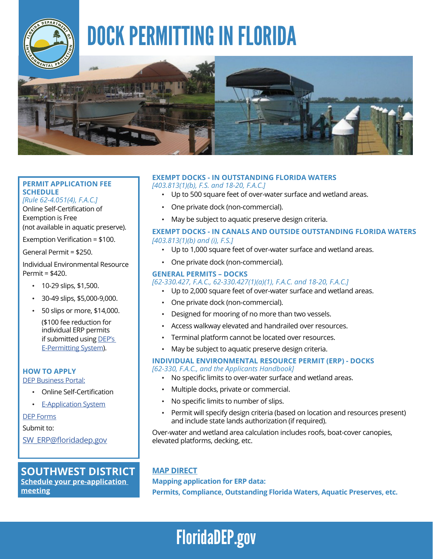

# DOCK PERMITTING IN FLORIDA



# **PERMIT APPLICATION FEE SCHEDULE**

*[Rule 62-4.051(4), F.A.C.]*

Online Self-Certification of Exemption is Free (not available in aquatic preserve).

Exemption Verification = \$100.

General Permit = \$250.

Individual Environmental Resource Permit = \$420.

- 10-29 slips, \$1,500.
- 30-49 slips, \$5,000-9,000.
- 50 slips or more, \$14,000. (\$100 fee reduction for

individual ERP permits if submitted using [DEP's](https://floridadep.gov/water/submerged-lands-environmental-resources-coordination/content/erp-e-permitting)  [E-Permitting System\)](https://floridadep.gov/water/submerged-lands-environmental-resources-coordination/content/erp-e-permitting).

**HOW TO APPLY**

[DEP Business Portal](https://www.fldepportal.com/DepPortal/go/home):

- Online Self-Certification
- [E-Application System](https://floridadep.gov/water/submerged-lands-environmental-resources-coordination/content/erp-e-permitting)

[DEP Forms](https://floridadep.gov/water/submerged-lands-environmental-resources-coordination/content/forms-environmental-resource)

Submit to:

[SW\\_ERP@floridadep.gov](mailto:%20SW_ERP%40floridadep.gov?subject=)

## **SOUTHWEST DISTRICT [Schedule your pre-application](https://www.surveygizmo.com/s3/4608604/Southwest-Request-DEP-Pre-Application-Meeting)**

**[meeting](https://www.surveygizmo.com/s3/4608604/Southwest-Request-DEP-Pre-Application-Meeting)**

# **EXEMPT DOCKS - IN [OUTSTANDING FLORIDA WATERS](https://floridadep.gov/dear/water-quality-standards/content/outstanding-florida-waters)**

*[403.813(1)(b), F.S. and 18-20, F.A.C.]*

- Up to 500 square feet of over-water surface and wetland areas.
- One private dock (non-commercial).
- May be subject to aquatic preserve design criteria.

### **EXEMPT DOCKS - IN CANALS AND OUTSIDE [OUTSTANDING FLORIDA WATERS](https://floridadep.gov/dear/water-quality-standards/content/outstanding-florida-waters)** *[403.813(1)(b) and (i), F.S.]*

- Up to 1,000 square feet of over-water surface and wetland areas.
- One private dock (non-commercial).

### **GENERAL PERMITS – DOCKS**

### *[62-330.427, F.A.C., 62-330.427(1)(a)(1), F.A.C. and 18-20, F.A.C.]*

- Up to 2,000 square feet of over-water surface and wetland areas.
- One private dock (non-commercial).
- Designed for mooring of no more than two vessels.
- Access walkway elevated and handrailed over resources.
- Terminal platform cannot be located over resources.
- May be subject to aquatic preserve design criteria.

# **INDIVIDUAL ENVIRONMENTAL RESOURCE PERMIT (ERP) - DOCKS**

- *[62-330, F.A.C., and the Applicants Handbook]* 
	- No specific limits to over-water surface and wetland areas.
	- Multiple docks, private or commercial.
	- No specific limits to number of slips.
	- Permit will specify design criteria (based on location and resources present) and include state lands authorization (if required).

Over-water and wetland area calculation includes roofs, boat-cover canopies, elevated platforms, decking, etc.

# **[MAP DIRECT](https://ca.dep.state.fl.us/mapdirect/?focus=erp)**

**Mapping application for ERP data:** 

**Permits, Compliance, Outstanding Florida Waters, Aquatic Preserves, etc.**

# [FloridaDEP.gov](https://floridadep.gov/)